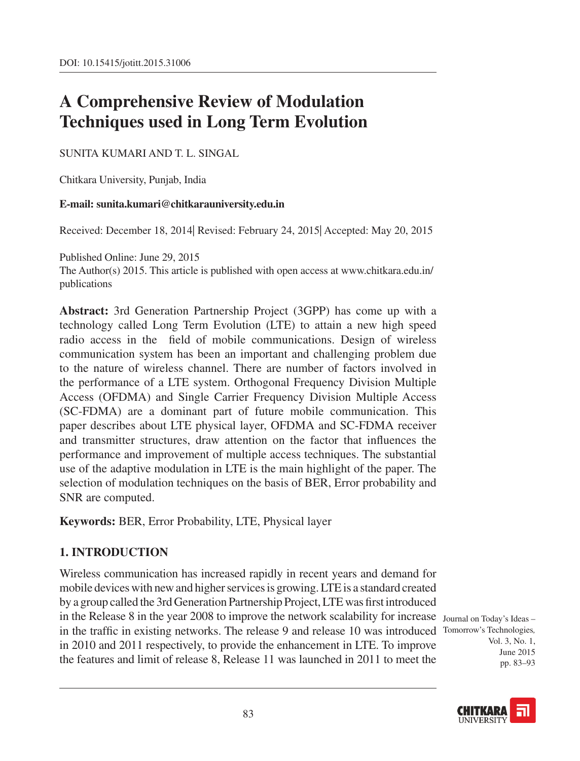# **A Comprehensive Review of Modulation Techniques used in Long Term Evolution**

### Sunita Kumari and T. L. Singal

Chitkara University, Punjab, India

### **E-mail: sunita.kumari@chitkarauniversity.edu.in**

Received: December 18, 2014| Revised: February 24, 2015| Accepted: May 20, 2015

Published Online: June 29, 2015

The Author(s) 2015. This article is published with open access at www.chitkara.edu.in/ publications

**Abstract:** 3rd Generation Partnership Project (3GPP) has come up with a technology called Long Term Evolution (LTE) to attain a new high speed radio access in the field of mobile communications. Design of wireless communication system has been an important and challenging problem due to the nature of wireless channel. There are number of factors involved in the performance of a LTE system. Orthogonal Frequency Division Multiple Access (OFDMA) and Single Carrier Frequency Division Multiple Access (SC-FDMA) are a dominant part of future mobile communication. This paper describes about LTE physical layer, OFDMA and SC-FDMA receiver and transmitter structures, draw attention on the factor that influences the performance and improvement of multiple access techniques. The substantial use of the adaptive modulation in LTE is the main highlight of the paper. The selection of modulation techniques on the basis of BER, Error probability and SNR are computed.

**Keywords:** BER, Error Probability, LTE, Physical layer

# **1. INTRODUCTION**

in the Release 8 in the year 2008 to improve the network scalability for increase Journal on Today's Ideas in the traffic in existing networks. The release 9 and release 10 was introduced Tomorrow's Technologies, Wireless communication has increased rapidly in recent years and demand for mobile devices with new and higher services is growing. LTE is a standard created by a group called the 3rd Generation Partnership Project, LTE was first introduced in 2010 and 2011 respectively, to provide the enhancement in LTE. To improve the features and limit of release 8, Release 11 was launched in 2011 to meet the

Vol. 3, No. 1, June 2015 pp. 83–93

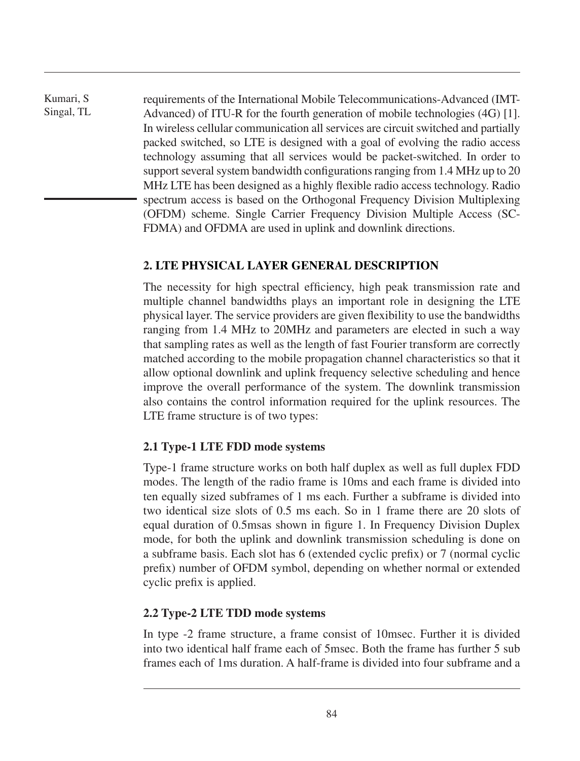Kumari, S Singal, TL requirements of the International Mobile Telecommunications-Advanced (IMT-Advanced) of ITU-R for the fourth generation of mobile technologies (4G) [1]. In wireless cellular communication all services are circuit switched and partially packed switched, so LTE is designed with a goal of evolving the radio access technology assuming that all services would be packet-switched. In order to support several system bandwidth configurations ranging from 1.4 MHz up to 20 MHz LTE has been designed as a highly flexible radio access technology. Radio spectrum access is based on the Orthogonal Frequency Division Multiplexing (OFDM) scheme. Single Carrier Frequency Division Multiple Access (SC-FDMA) and OFDMA are used in uplink and downlink directions.

### **2. LTE physical layer general description**

The necessity for high spectral efficiency, high peak transmission rate and multiple channel bandwidths plays an important role in designing the LTE physical layer. The service providers are given flexibility to use the bandwidths ranging from 1.4 MHz to 20MHz and parameters are elected in such a way that sampling rates as well as the length of fast Fourier transform are correctly matched according to the mobile propagation channel characteristics so that it allow optional downlink and uplink frequency selective scheduling and hence improve the overall performance of the system. The downlink transmission also contains the control information required for the uplink resources. The LTE frame structure is of two types:

# **2.1 Type-1 LTE FDD mode systems**

Type-1 frame structure works on both half duplex as well as full duplex FDD modes. The length of the radio frame is 10ms and each frame is divided into ten equally sized subframes of 1 ms each. Further a subframe is divided into two identical size slots of 0.5 ms each. So in 1 frame there are 20 slots of equal duration of 0.5msas shown in figure 1. In Frequency Division Duplex mode, for both the uplink and downlink transmission scheduling is done on a subframe basis. Each slot has 6 (extended cyclic prefix) or 7 (normal cyclic prefix) number of OFDM symbol, depending on whether normal or extended cyclic prefix is applied.

# **2.2 Type-2 LTE TDD mode systems**

In type -2 frame structure, a frame consist of 10msec. Further it is divided into two identical half frame each of 5msec. Both the frame has further 5 sub frames each of 1ms duration. A half-frame is divided into four subframe and a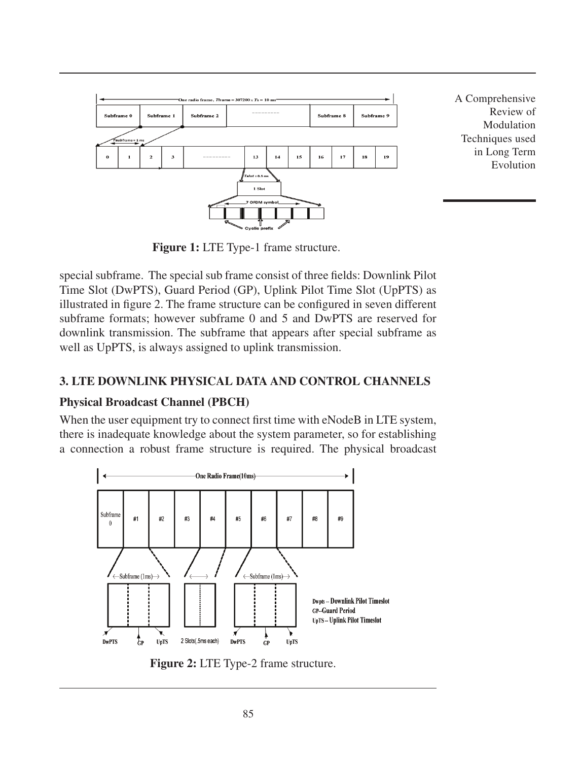

Modulation Techniques used in Long Term Evolution

**Figure 1:** LTE Type-1 frame structure.

special subframe. The special sub frame consist of three fields: Downlink Pilot Time Slot (DwPTS), Guard Period (GP), Uplink Pilot Time Slot (UpPTS) as illustrated in figure 2. The frame structure can be configured in seven different subframe formats; however subframe 0 and 5 and DwPTS are reserved for downlink transmission. The subframe that appears after special subframe as well as UpPTS, is always assigned to uplink transmission.

# **3. LTE downlink physical data and control channels**

# **Physical Broadcast Channel (PBCH)**

When the user equipment try to connect first time with eNodeB in LTE system, there is inadequate knowledge about the system parameter, so for establishing a connection a robust frame structure is required. The physical broadcast



**Figure 2:** LTE Type-2 frame structure.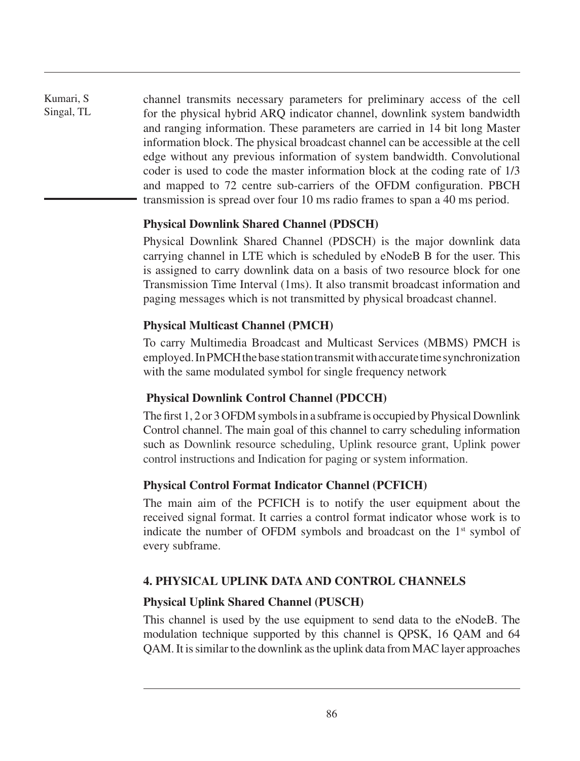channel transmits necessary parameters for preliminary access of the cell for the physical hybrid ARQ indicator channel, downlink system bandwidth and ranging information. These parameters are carried in 14 bit long Master information block. The physical broadcast channel can be accessible at the cell edge without any previous information of system bandwidth. Convolutional coder is used to code the master information block at the coding rate of 1/3 and mapped to 72 centre sub-carriers of the OFDM configuration. PBCH transmission is spread over four 10 ms radio frames to span a 40 ms period.

# **Physical Downlink Shared Channel (PDSCH)**

Physical Downlink Shared Channel (PDSCH) is the major downlink data carrying channel in LTE which is scheduled by eNodeB B for the user. This is assigned to carry downlink data on a basis of two resource block for one Transmission Time Interval (1ms). It also transmit broadcast information and paging messages which is not transmitted by physical broadcast channel.

# **Physical Multicast Channel (PMCH)**

To carry Multimedia Broadcast and Multicast Services (MBMS) PMCH is employed. In PMCH the base station transmit with accurate time synchronization with the same modulated symbol for single frequency network

# **Physical Downlink Control Channel (PDCCH)**

The first 1, 2 or 3 OFDM symbols in a subframe is occupied by Physical Downlink Control channel. The main goal of this channel to carry scheduling information such as Downlink resource scheduling, Uplink resource grant, Uplink power control instructions and Indication for paging or system information.

# **Physical Control Format Indicator Channel (PCFICH)**

The main aim of the PCFICH is to notify the user equipment about the received signal format. It carries a control format indicator whose work is to indicate the number of OFDM symbols and broadcast on the  $1<sup>st</sup>$  symbol of every subframe.

# **4. Physical Uplink Data and Control Channels**

# **Physical Uplink Shared Channel (PUSCH)**

This channel is used by the use equipment to send data to the eNodeB. The modulation technique supported by this channel is QPSK, 16 QAM and 64 QAM. It is similar to the downlink as the uplink data from MAC layer approaches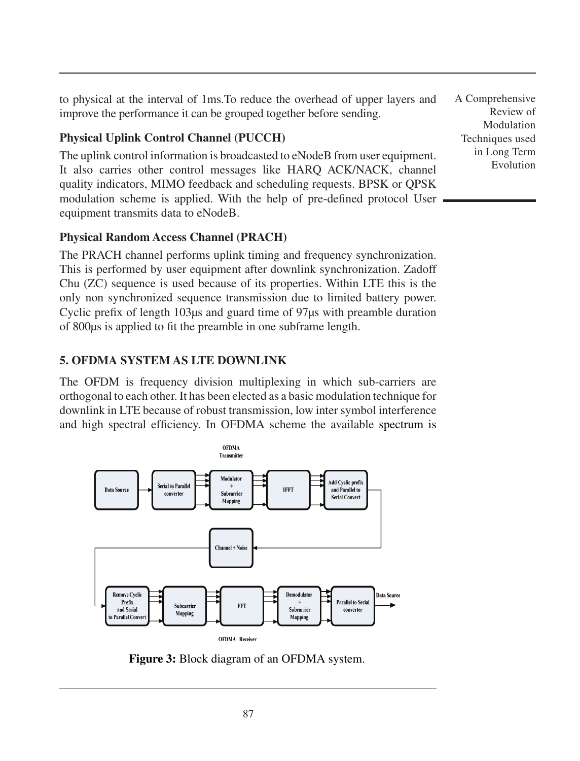to physical at the interval of 1ms.To reduce the overhead of upper layers and improve the performance it can be grouped together before sending.

# **Physical Uplink Control Channel (PUCCH)**

The uplink control information is broadcasted to eNodeB from user equipment. It also carries other control messages like HARQ ACK/NACK, channel quality indicators, MIMO feedback and scheduling requests. BPSK or QPSK modulation scheme is applied. With the help of pre-defined protocol User equipment transmits data to eNodeB.

# **Physical Random Access Channel (PRACH)**

The PRACH channel performs uplink timing and frequency synchronization. This is performed by user equipment after downlink synchronization. Zadoff Chu (ZC) sequence is used because of its properties. Within LTE this is the only non synchronized sequence transmission due to limited battery power. Cyclic prefix of length 103μs and guard time of 97μs with preamble duration of 800μs is applied to fit the preamble in one subframe length.

# **5. OFDMA system as LTE downlink**

The OFDM is frequency division multiplexing in which sub-carriers are orthogonal to each other. It has been elected as a basic modulation technique for downlink in LTE because of robust transmission, low inter symbol interference and high spectral efficiency. In OFDMA scheme the available spectrum is



**Figure 3:** Block diagram of an OFDMA system.

A Comprehensive Review of Modulation Techniques used in Long Term Evolution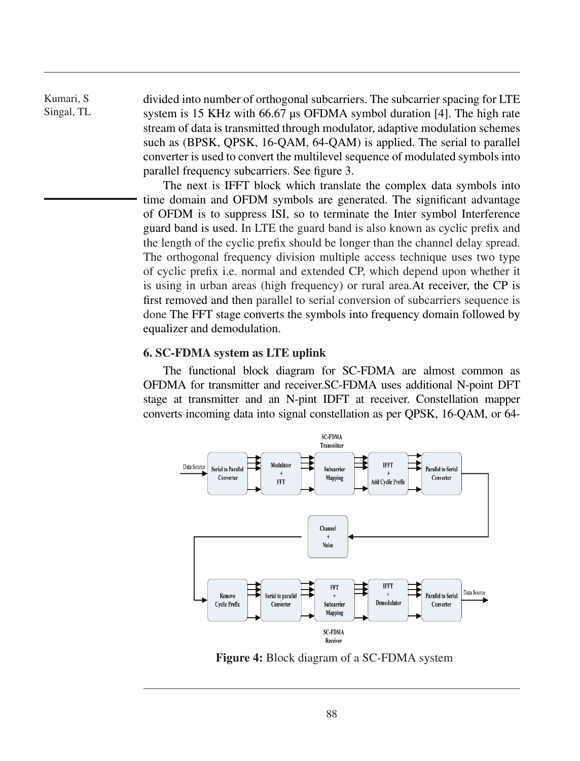divided into number of orthogonal subcarriers. The subcarrier spacing for LTE system is 15 KHz with 66.67 μs OFDMA symbol duration [4]. The high rate stream of data is transmitted through modulator, adaptive modulation schemes such as (BPSK, QPSK, 16-QAM, 64-QAM) is applied. The serial to parallel converter is used to convert the multilevel sequence of modulated symbols into parallel frequency subcarriers. See figure 3.

The next is IFFT block which translate the complex data symbols into time domain and OFDM symbols are generated. The significant advantage of OFDM is to suppress ISI, so to terminate the Inter symbol Interference guard band is used. In LTE the guard band is also known as cyclic prefix and the length of the cyclic prefix should be longer than the channel delay spread. The orthogonal frequency division multiple access technique uses two type of cyclic prefix i.e. normal and extended CP, which depend upon whether it is using in urban areas (high frequency) or rural area.At receiver, the CP is first removed and then parallel to serial conversion of subcarriers sequence is done The FFT stage converts the symbols into frequency domain followed by equalizer and demodulation.

#### **6. SC-FDMA system as LTE uplink**

The functional block diagram for SC-FDMA are almost common as OFDMA for transmitter and receiver.SC-FDMA uses additional N-point DFT stage at transmitter and an N-pint IDFT at receiver. Constellation mapper converts incoming data into signal constellation as per QPSK, 16-QAM, or 64-



**Figure 4:** Block diagram of a SC-FDMA system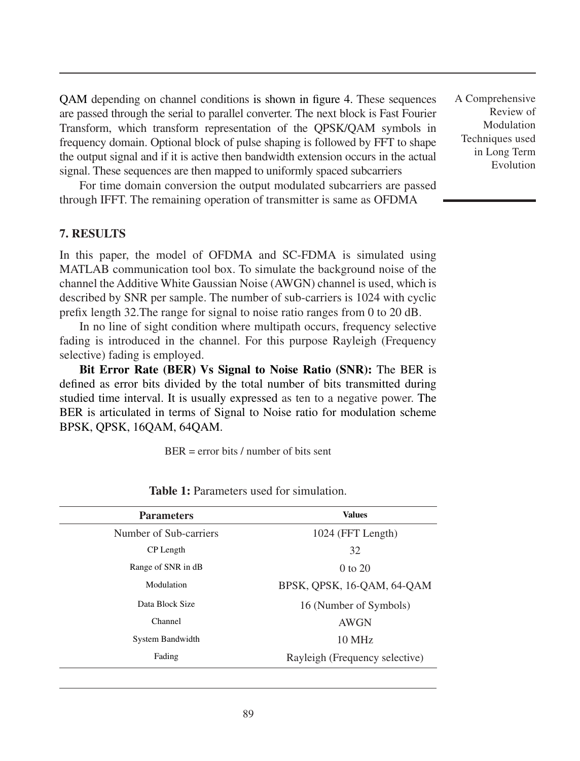QAM depending on channel conditions is shown in figure 4. These sequences are passed through the serial to parallel converter. The next block is Fast Fourier Transform, which transform representation of the QPSK/QAM symbols in frequency domain. Optional block of pulse shaping is followed by FFT to shape the output signal and if it is active then bandwidth extension occurs in the actual signal. These sequences are then mapped to uniformly spaced subcarriers

For time domain conversion the output modulated subcarriers are passed through IFFT. The remaining operation of transmitter is same as OFDMA

#### **7. Results**

In this paper, the model of OFDMA and SC-FDMA is simulated using MATLAB communication tool box. To simulate the background noise of the channel the Additive White Gaussian Noise (AWGN) channel is used, which is described by SNR per sample. The number of sub-carriers is 1024 with cyclic prefix length 32.The range for signal to noise ratio ranges from 0 to 20 dB.

In no line of sight condition where multipath occurs, frequency selective fading is introduced in the channel. For this purpose Rayleigh (Frequency selective) fading is employed.

**Bit Error Rate (BER) Vs Signal to Noise Ratio (SNR):** The BER is defined as error bits divided by the total number of bits transmitted during studied time interval. It is usually expressed as ten to a negative power. The BER is articulated in terms of Signal to Noise ratio for modulation scheme BPSK, QPSK, 16QAM, 64QAM.

 $BER = error bits / number of bits sent$ 

| <b>Parameters</b>      | <b>Values</b>                  |  |  |
|------------------------|--------------------------------|--|--|
| Number of Sub-carriers | 1024 (FFT Length)              |  |  |
| CP Length              | 32                             |  |  |
| Range of SNR in dB     | $0$ to $20$                    |  |  |
| Modulation             | BPSK, QPSK, 16-QAM, 64-QAM     |  |  |
| Data Block Size        | 16 (Number of Symbols)         |  |  |
| Channel                | AWGN                           |  |  |
| System Bandwidth       | 10 MHz                         |  |  |
| Fading                 | Rayleigh (Frequency selective) |  |  |

**Table 1:** Parameters used for simulation.

A Comprehensive Review of Modulation Techniques used in Long Term Evolution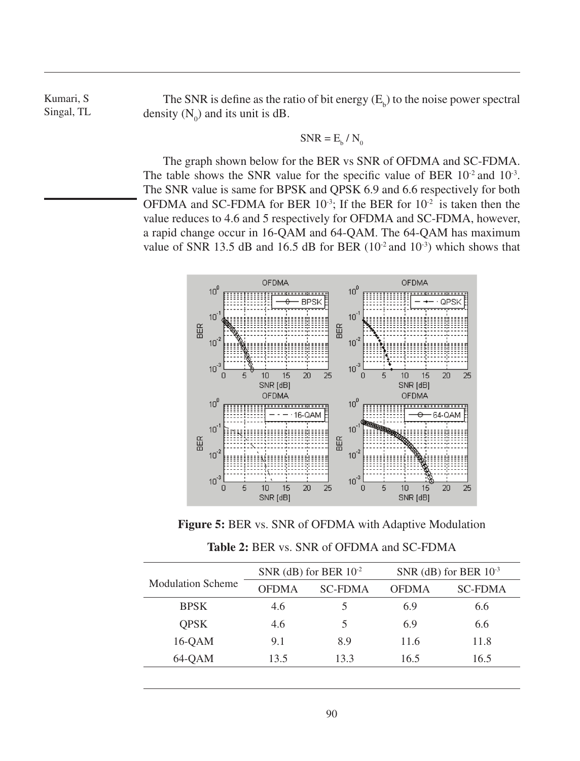The SNR is define as the ratio of bit energy  $(E_b)$  to the noise power spectral density  $(N_0)$  and its unit is dB.

$$
SNR = E_b / N_0
$$

The graph shown below for the BER vs SNR of OFDMA and SC-FDMA. The table shows the SNR value for the specific value of BER  $10^{-2}$  and  $10^{-3}$ . The SNR value is same for BPSK and QPSK 6.9 and 6.6 respectively for both OFDMA and SC-FDMA for BER  $10^{-3}$ ; If the BER for  $10^{-2}$  is taken then the value reduces to 4.6 and 5 respectively for OFDMA and SC-FDMA, however, a rapid change occur in 16-QAM and 64-QAM. The 64-QAM has maximum value of SNR 13.5 dB and 16.5 dB for BER  $(10^{-2}$  and  $10^{-3})$  which shows that



**Figure 5:** BER vs. SNR of OFDMA with Adaptive Modulation

|  |  |  | <b>Table 2: BER vs. SNR of OFDMA and SC-FDMA</b> |
|--|--|--|--------------------------------------------------|
|--|--|--|--------------------------------------------------|

| <b>Modulation Scheme</b> | SNR (dB) for BER $10^{-2}$ |                | SNR (dB) for BER $10^{-3}$ |                |
|--------------------------|----------------------------|----------------|----------------------------|----------------|
|                          | OFDMA                      | <b>SC-FDMA</b> | <b>OFDMA</b>               | <b>SC-FDMA</b> |
| <b>BPSK</b>              | 4.6                        |                | 6.9                        | 6.6            |
| <b>OPSK</b>              | 4.6                        |                | 6.9                        | 6.6            |
| $16$ -OAM                | 9.1                        | 8.9            | 11.6                       | 11.8           |
| 64-OAM                   | 13.5                       | 13.3           | 16.5                       | 16.5           |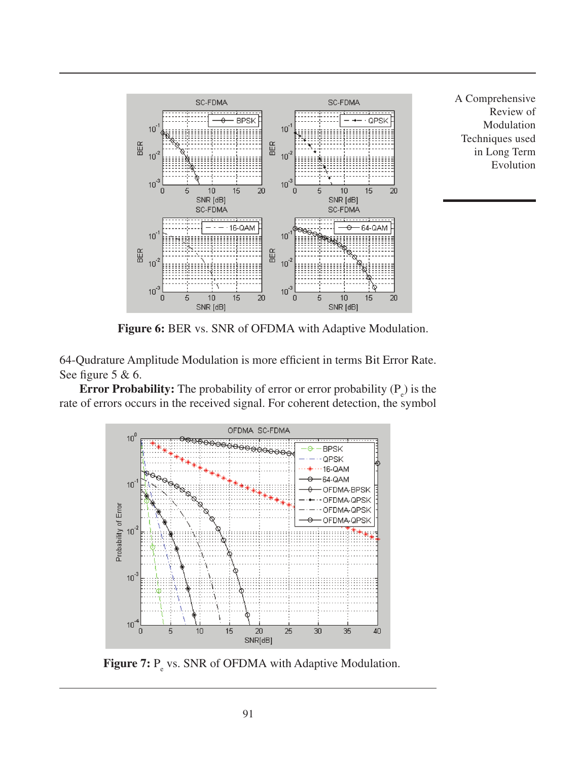

A Comprehensive Review of Modulation Techniques used in Long Term Evolution

**Figure 6:** BER vs. SNR of OFDMA with Adaptive Modulation.

64-Qudrature Amplitude Modulation is more efficient in terms Bit Error Rate. See figure 5 & 6.

**Error Probability:** The probability of error or error probability  $(P_e)$  is the rate of errors occurs in the received signal. For coherent detection, the symbol



**Figure 7:** P<sub>e</sub> vs. SNR of OFDMA with Adaptive Modulation.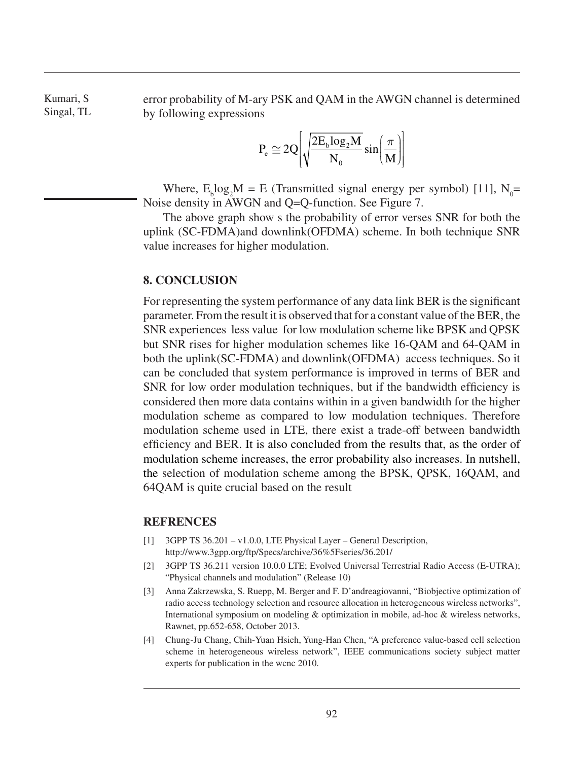error probability of M-ary PSK and QAM in the AWGN channel is determined by following expressions

$$
P_e\cong 2Q\Bigg[\sqrt{\frac{2E_{_b}log_2M}{N_{_0}}}\sin\biggl(\frac{\pi}{M}\biggr)\Bigg]
$$

Where,  $E_b \log_2 M = E$  (Transmitted signal energy per symbol) [11], N<sub>0</sub>= Noise density in AWGN and Q=Q-function. See Figure 7.

The above graph show s the probability of error verses SNR for both the uplink (SC-FDMA)and downlink(OFDMA) scheme. In both technique SNR value increases for higher modulation.

#### **8. Conclusion**

For representing the system performance of any data link BER is the significant parameter. From the result it is observed that for a constant value of the BER, the SNR experiences less value for low modulation scheme like BPSK and QPSK but SNR rises for higher modulation schemes like 16-QAM and 64-QAM in both the uplink(SC-FDMA) and downlink(OFDMA) access techniques. So it can be concluded that system performance is improved in terms of BER and SNR for low order modulation techniques, but if the bandwidth efficiency is considered then more data contains within in a given bandwidth for the higher modulation scheme as compared to low modulation techniques. Therefore modulation scheme used in LTE, there exist a trade-off between bandwidth efficiency and BER. It is also concluded from the results that, as the order of modulation scheme increases, the error probability also increases. In nutshell, the selection of modulation scheme among the BPSK, QPSK, 16QAM, and 64QAM is quite crucial based on the result

#### **Refrences**

- [1] 3GPP TS 36.201 v1.0.0, LTE Physical Layer General Description, http://www.3gpp.org/ftp/Specs/archive/36%5Fseries/36.201/
- [2] 3GPP TS 36.211 version 10.0.0 LTE; Evolved Universal Terrestrial Radio Access (E-UTRA); "Physical channels and modulation" (Release 10)
- [3] Anna Zakrzewska, S. Ruepp, M. Berger and F. D'andreagiovanni, "Biobjective optimization of radio access technology selection and resource allocation in heterogeneous wireless networks", International symposium on modeling & optimization in mobile, ad-hoc & wireless networks, Rawnet, pp.652-658, October 2013.
- [4] Chung-Ju Chang, Chih-Yuan Hsieh, Yung-Han Chen, "A preference value-based cell selection scheme in heterogeneous wireless network", IEEE communications society subject matter experts for publication in the wcnc 2010.